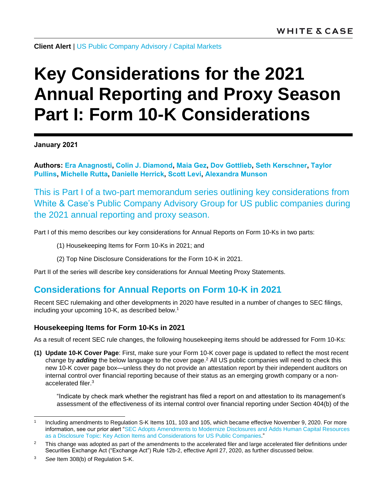**Client Alert** | [US Public Company Advisory](https://www.whitecase.com/law/practices/public-company-advisory-pca) / [Capital Markets](https://www.whitecase.com/law/practices/capital-markets)

# **Key Considerations for the 2021 Annual Reporting and Proxy Season Part I: Form 10-K Considerations**

**January 2021**

**Authors: [Era Anagnosti,](https://www.whitecase.com/people/era-anagnosti) [Colin J. Diamond,](https://www.whitecase.com/people/colin-diamond) [Maia Gez,](https://www.whitecase.com/people/maia-gez) [Dov Gottlieb,](https://www.whitecase.com/people/dov-gottlieb) [Seth Kerschner,](https://www.whitecase.com/people/seth-kerschner) [Taylor](https://www.whitecase.com/people/taylor-pullins)  [Pullins,](https://www.whitecase.com/people/taylor-pullins) [Michelle Rutta,](https://www.whitecase.com/people/michelle-rutta) [Danielle Herrick,](https://www.whitecase.com/people/danielle-herrick) [Scott Levi,](https://www.whitecase.com/people/scott-levi) [Alexandra Munson](mailto:alexandra.munson@whitecase.com)**

This is Part I of a two-part memorandum series outlining key considerations from White & Case's Public Company Advisory Group for US public companies during the 2021 annual reporting and proxy season.

Part I of this memo describes our key considerations for Annual Reports on Form 10-Ks in two parts:

- (1) Housekeeping Items for Form 10-Ks in 2021; and
- (2) Top Nine Disclosure Considerations for the Form 10-K in 2021.

Part II of the series will describe key considerations for Annual Meeting Proxy Statements.

# **Considerations for Annual Reports on Form 10-K in 2021**

Recent SEC rulemaking and other developments in 2020 have resulted in a number of changes to SEC filings, including your upcoming 10-K, as described below.<sup>1</sup>

# **Housekeeping Items for Form 10-Ks in 2021**

As a result of recent SEC rule changes, the following housekeeping items should be addressed for Form 10-Ks:

**(1) Update 10-K Cover Page**: First, make sure your Form 10-K cover page is updated to reflect the most recent change by *adding* the below language to the cover page. <sup>2</sup> All US public companies will need to check this new 10-K cover page box—unless they do not provide an attestation report by their independent auditors on internal control over financial reporting because of their status as an emerging growth company or a nonaccelerated filer. 3

"Indicate by check mark whether the registrant has filed a report on and attestation to its management's assessment of the effectiveness of its internal control over financial reporting under Section 404(b) of the

<sup>1</sup> Including amendments to Regulation S-K Items 101, 103 and 105, which became effective November 9, 2020. For more information, see our prior alert ["SEC Adopts Amendments to Modernize Disclosures and Adds Human Capital Resources](https://www.whitecase.com/publications/alert/sec-adopts-amendments-modernize-disclosures-and-adds-human-capital-resources)  [as a Disclosure Topic: Key Action Items and Considerations for US](https://www.whitecase.com/publications/alert/sec-adopts-amendments-modernize-disclosures-and-adds-human-capital-resources) Public Companies."

 $2$  This change was adopted as part of the amendments to the accelerated filer and large accelerated filer definitions under Securities Exchange Act ("Exchange Act") Rule 12b-2, effective April 27, 2020, as further discussed below.

<sup>3</sup> *See* Item 308(b) of Regulation S-K.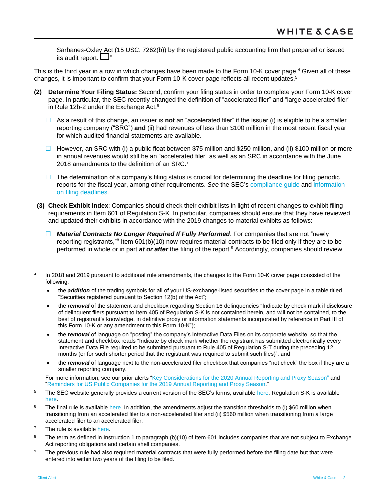Sarbanes-Oxley Act (15 USC. 7262(b)) by the registered public accounting firm that prepared or issued its audit report.  $\square$ "

This is the third year in a row in which changes have been made to the Form 10-K cover page.<sup>4</sup> Given all of these changes, it is important to confirm that your Form 10-K cover page reflects all recent updates.<sup>5</sup>

- **(2) Determine Your Filing Status:** Second, confirm your filing status in order to complete your Form 10-K cover page. In particular, the SEC recently changed the definition of "accelerated filer" and "large accelerated filer" in Rule 12b-2 under the Exchange Act.<sup>6</sup>
	- As a result of this change, an issuer is **not** an "accelerated filer" if the issuer (i) is eligible to be a smaller reporting company ("SRC") **and** (ii) had revenues of less than \$100 million in the most recent fiscal year for which audited financial statements are available.
	- However, an SRC with (i) a public float between \$75 million and \$250 million, and (ii) \$100 million or more in annual revenues would still be an "accelerated filer" as well as an SRC in accordance with the June 2018 amendments to the definition of an SRC.<sup>7</sup>
	- $\Box$  The determination of a company's filing status is crucial for determining the deadline for filing periodic reports for the fiscal year, among other requirements. *See* the SEC's [compliance guide](https://www.sec.gov/corpfin/secg-accelerated-filer-and-large-accelerated-filer-definitions) and [information](https://www.investor.gov/introduction-investing/investing-basics/glossary/form-10-k)  [on filing deadlines.](https://www.investor.gov/introduction-investing/investing-basics/glossary/form-10-k)
- **(3) Check Exhibit Index**: Companies should check their exhibit lists in light of recent changes to exhibit filing requirements in Item 601 of Regulation S-K. In particular, companies should ensure that they have reviewed and updated their exhibits in accordance with the 2019 changes to material exhibits as follows:
	- *Material Contracts No Longer Required If Fully Performed*: For companies that are not "newly reporting registrants,"<sup>8</sup> Item 601(b)(10) now requires material contracts to be filed only if they are to be performed in whole or in part *at or after* the filing of the report.<sup>9</sup> Accordingly, companies should review

- the *removal* of the statement and checkbox regarding Section 16 delinquencies "Indicate by check mark if disclosure of delinquent filers pursuant to Item 405 of Regulation S-K is not contained herein, and will not be contained, to the best of registrant's knowledge, in definitive proxy or information statements incorporated by reference in Part III of this Form 10-K or any amendment to this Form 10-K");
- the *removal* of language on "posting" the company's Interactive Data Files on its corporate website, so that the statement and checkbox reads "Indicate by check mark whether the registrant has submitted electronically every Interactive Data File required to be submitted pursuant to Rule 405 of Regulation S-T during the preceding 12 months (or for such shorter period that the registrant was required to submit such files)"; and
- the *removal* of language next to the non-accelerated filer checkbox that companies "not check" the box if they are a smaller reporting company.

For more information, see our prior alerts ["Key Considerations for the 2020 Annual Reporting and Proxy Season"](https://www.whitecase.com/publications/alert/key-considerations-2020-annual-reporting-and-proxy-season) and ["Reminders for US Public Companies for the 2019 Annual Reporting and Proxy Season.](https://www.whitecase.com/sites/whitecase/files/files/download/publications/reminders-for-us-public-companies-for-the-2019-annual-reporting_1.pdf)"

<sup>9</sup> The previous rule had also required material contracts that were fully performed before the filing date but that were entered into within two years of the filing to be filed.

l 4 In 2018 and 2019 pursuant to additional rule amendments, the changes to the Form 10-K cover page consisted of the following:

the *addition* of the trading symbols for all of your US-exchange-listed securities to the cover page in a table titled "Securities registered pursuant to Section 12(b) of the Act";

<sup>&</sup>lt;sup>5</sup> The SEC website generally provides a current version of the SEC's forms, available [here.](https://www.sec.gov/forms) Regulation S-K is available [here.](https://www.sec.gov/divisions/corpfin/ecfrlinks.shtml)

 $6$  The final rule is available [here.](https://www.sec.gov/rules/final/2020/34-88365.pdf) In addition, the amendments adjust the transition thresholds to (i) \$60 million when transitioning from an accelerated filer to a non-accelerated filer and (ii) \$560 million when transitioning from a large accelerated filer to an accelerated filer.

 $7$  The rule is available [here.](https://www.sec.gov/rules/final/2018/33-10513.pdf)

<sup>&</sup>lt;sup>8</sup> The term as defined in Instruction 1 to paragraph (b)(10) of Item 601 includes companies that are not subject to Exchange Act reporting obligations and certain shell companies.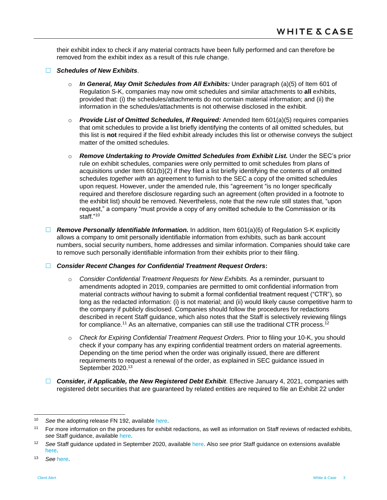their exhibit index to check if any material contracts have been fully performed and can therefore be removed from the exhibit index as a result of this rule change.

#### *Schedules of New Exhibits*.

- o *In General, May Omit Schedules from All Exhibits:* Under paragraph (a)(5) of Item 601 of Regulation S-K, companies may now omit schedules and similar attachments to **all** exhibits, provided that: (i) the schedules/attachments do not contain material information; and (ii) the information in the schedules/attachments is not otherwise disclosed in the exhibit.
- o *Provide List of Omitted Schedules, If Required:* Amended Item 601(a)(5) requires companies that omit schedules to provide a list briefly identifying the contents of all omitted schedules, but this list is **not** required if the filed exhibit already includes this list or otherwise conveys the subject matter of the omitted schedules.
- o *Remove Undertaking to Provide Omitted Schedules from Exhibit List.* Under the SEC's prior rule on exhibit schedules, companies were only permitted to omit schedules from plans of acquisitions under Item 601(b)(2) if they filed a list briefly identifying the contents of all omitted schedules *together with* an agreement to furnish to the SEC a copy of the omitted schedules upon request. However, under the amended rule, this "agreement "is no longer specifically required and therefore disclosure regarding such an agreement (often provided in a footnote to the exhibit list) should be removed. Nevertheless, note that the new rule still states that, "upon request," a company "must provide a copy of any omitted schedule to the Commission or its staff." 10
- *Remove Personally Identifiable Information.* In addition, Item 601(a)(6) of Regulation S-K explicitly allows a company to omit personally identifiable information from exhibits, such as bank account numbers, social security numbers, home addresses and similar information. Companies should take care to remove such personally identifiable information from their exhibits prior to their filing.

# *Consider Recent Changes for Confidential Treatment Request Orders***:**

- o *Consider Confidential Treatment Requests for New Exhibits.* As a reminder, pursuant to amendments adopted in 2019, companies are permitted to omit confidential information from material contracts *without* having to submit a formal confidential treatment request ("CTR"), so long as the redacted information: (i) is not material; and (ii) would likely cause competitive harm to the company if publicly disclosed. Companies should follow the procedures for redactions described in recent Staff guidance, which also notes that the Staff is selectively reviewing filings for compliance.<sup>11</sup> As an alternative, companies can still use the traditional CTR process.<sup>12</sup>
- o *Check for Expiring Confidential Treatment Request Orders.* Prior to filing your 10-K, you should check if your company has any expiring confidential treatment orders on material agreements. Depending on the time period when the order was originally issued, there are different requirements to request a renewal of the order, as explained in SEC guidance issued in September 2020.<sup>13</sup>
- *Consider, if Applicable, the New Registered Debt Exhibit*. Effective January 4, 2021, companies with registered debt securities that are guaranteed by related entities are required to file an Exhibit 22 under

<sup>10</sup> *See* the adopting release FN 192, available [here.](https://www.sec.gov/rules/final/2019/33-10618.pdf)

<sup>11</sup> For more information on the procedures for exhibit redactions, as well as information on Staff reviews of redacted exhibits, *see* Staff guidance, available [here.](https://www.sec.gov/corpfin/announcement/new-rules-and-procedures-exhibits-containing-immaterial)

<sup>12</sup> *See* Staff guidance updated in September 2020, available [here.](https://www.sec.gov/corpfin/confidential-treatment-applications) Also *see* prior Staff guidance on extensions available [here.](https://www.sec.gov/corpfin/streamlined-procedure-confidential-treatment-extensions)

<sup>13</sup> *See* [here.](https://www.sec.gov/corpfin/confidential-treatment-applications)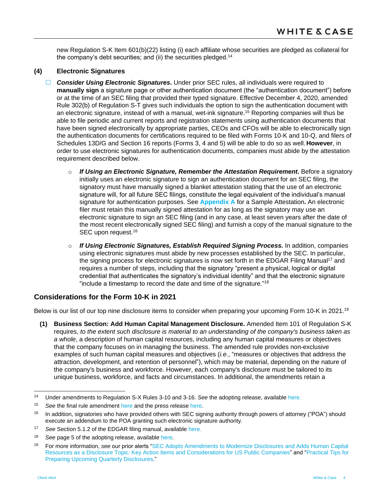new Regulation S-K Item 601(b)(22) listing (i) each affiliate whose securities are pledged as collateral for the company's debt securities; and (ii) the securities pledged.<sup>14</sup>

# **(4) Electronic Signatures**

- *Consider Using Electronic Signatures***.** Under prior SEC rules, all individuals were required to **manually sign** a signature page or other authentication document (the "authentication document") before or at the time of an SEC filing that provided their typed signature. Effective December 4, 2020, amended Rule 302(b) of Regulation S-T gives such individuals the option to sign the authentication document with an electronic signature, instead of with a manual, wet-ink signature. <sup>15</sup> Reporting companies will thus be able to file periodic and current reports and registration statements using authentication documents that have been signed electronically by appropriate parties, CEOs and CFOs will be able to electronically sign the authentication documents for certifications required to be filed with Forms 10-K and 10-Q, and filers of Schedules 13D/G and Section 16 reports (Forms 3, 4 and 5) will be able to do so as well.**However**, in order to use electronic signatures for authentication documents, companies must abide by the attestation requirement described below.
	- o *If Using an Electronic Signature, Remember the Attestation Requirement***.** Before a signatory initially uses an electronic signature to sign an authentication document for an SEC filing, the signatory must have manually signed a blanket attestation stating that the use of an electronic signature will, for all future SEC filings, constitute the legal equivalent of the individual's manual signature for authentication purposes. See **[Appendix A](#page-13-0)** for a Sample Attestation**.** An electronic filer must retain this manually signed attestation for as long as the signatory may use an electronic signature to sign an SEC filing (and in any case, at least seven years after the date of the most recent electronically signed SEC filing) and furnish a copy of the manual signature to the SEC upon request.<sup>16</sup>
	- o *If Using Electronic Signatures, Establish Required Signing Process.* In addition, companies using electronic signatures must abide by new processes established by the SEC. In particular, the signing process for electronic signatures is now set forth in the EDGAR Filing Manual<sup>17</sup> and requires a number of steps, including that the signatory "present a physical, logical or digital credential that authenticates the signatory's individual identity" and that the electronic signature "include a timestamp to record the date and time of the signature."<sup>18</sup>

# **Considerations for the Form 10-K in 2021**

Below is our list of our top nine disclosure items to consider when preparing your upcoming Form 10-K in 2021.<sup>19</sup>

**(1) Business Section: Add Human Capital Management Disclosure.** Amended Item 101 of Regulation S-K requires, *to the extent such disclosure is material to an understanding of the company's business taken as a whole*, a description of human capital resources, including any human capital measures or objectives that the company focuses on in managing the business. The amended rule provides non-exclusive examples of such human capital measures and objectives (*i.e.*, "measures or objectives that address the attraction, development, and retention of personnel"), which may be material, depending on the nature of the company's business and workforce. However, each company's disclosure must be tailored to its unique business, workforce, and facts and circumstances. In additional, the amendments retain a

 $14$ <sup>14</sup> Under amendments to Regulation S-X Rules 3-10 and 3-16. *See* the adopting release, available [here.](https://www.sec.gov/rules/final/2020/33-10762.pdf)

<sup>15</sup> *See* the final rule amendment [here](https://www.sec.gov/rules/final/2020/33-10889.pdf) and the press release [here.](https://www.sec.gov/news/press-release/2020-286)

<sup>&</sup>lt;sup>16</sup> In addition, signatories who have provided others with SEC signing authority through powers of attorney ("POA") should execute an addendum to the POA granting such electronic signature authority.

<sup>17</sup> *See* Section 5.1.2 of the EDGAR filing manual, available [here.](https://www.sec.gov/rules/final/2020/33-10889-efm2-changes.pdf)

<sup>18</sup> *See* page 5 of the adopting release, available [here.](https://www.sec.gov/rules/final/2020/33-10889.pdf)

<sup>19</sup> For more information, *see* our prior alerts ["SEC Adopts Amendments to Modernize Disclosures and Adds Human Capital](https://www.whitecase.com/publications/alert/sec-adopts-amendments-modernize-disclosures-and-adds-human-capital-resources)  [Resources as a Disclosure Topic: Key Action Items and Considerations for US](https://www.whitecase.com/publications/alert/sec-adopts-amendments-modernize-disclosures-and-adds-human-capital-resources) Public Companies" and ["Practical Tips for](https://www.whitecase.com/publications/alert/practical-tips-prepare-upcoming-quarterly-disclosures)  [Preparing Upcoming Quarterly Disclosures."](https://www.whitecase.com/publications/alert/practical-tips-prepare-upcoming-quarterly-disclosures)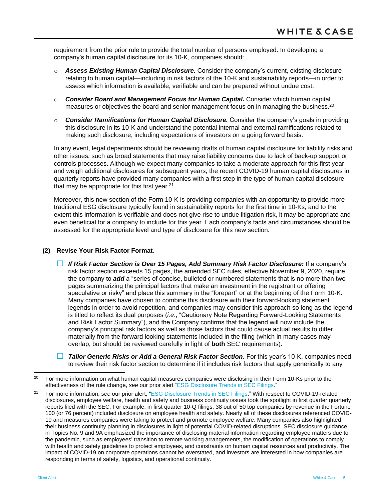requirement from the prior rule to provide the total number of persons employed. In developing a company's human capital disclosure for its 10-K, companies should:

- o *Assess Existing Human Capital Disclosure.* Consider the company's current, existing disclosure relating to human capital—including in risk factors of the 10-K and sustainability reports—in order to assess which information is available, verifiable and can be prepared without undue cost.
- o *Consider Board and Management Focus for Human Capital.* Consider which human capital measures or objectives the board and senior management focus on in managing the business.<sup>20</sup>
- o *Consider Ramifications for Human Capital Disclosure.* Consider the company's goals in providing this disclosure in its 10-K and understand the potential internal and external ramifications related to making such disclosure, including expectations of investors on a going forward basis.

In any event, legal departments should be reviewing drafts of human capital disclosure for liability risks and other issues, such as broad statements that may raise liability concerns due to lack of back-up support or controls processes. Although we expect many companies to take a moderate approach for this first year and weigh additional disclosures for subsequent years, the recent COVID-19 human capital disclosures in quarterly reports have provided many companies with a first step in the type of human capital disclosure that may be appropriate for this first year. 21

Moreover, this new section of the Form 10-K is providing companies with an opportunity to provide more traditional ESG disclosure typically found in sustainability reports for the first time in 10-Ks, and to the extent this information is verifiable and does not give rise to undue litigation risk, it may be appropriate and even beneficial for a company to include for this year. Each company's facts and circumstances should be assessed for the appropriate level and type of disclosure for this new section.

#### **(2) Revise Your Risk Factor Format**.

- *If Risk Factor Section is Over 15 Pages, Add Summary Risk Factor Disclosure:* If a company's risk factor section exceeds 15 pages, the amended SEC rules, effective November 9, 2020, require the company to *add* a "series of concise, bulleted or numbered statements that is no more than two pages summarizing the principal factors that make an investment in the registrant or offering speculative or risky" and place this summary in the "forepart" or at the beginning of the Form 10-K. Many companies have chosen to combine this disclosure with their forward-looking statement legends in order to avoid repetition, and companies may consider this approach so long as the legend is titled to reflect its dual purposes (*i.e*., "Cautionary Note Regarding Forward-Looking Statements and Risk Factor Summary"), and the Company confirms that the legend will now include the company's principal risk factors as well as those factors that could cause actual results to differ materially from the forward looking statements included in the filing (which in many cases may overlap, but should be reviewed carefully in light of **both** SEC requirements).
- *Tailor Generic Risks or Add a General Risk Factor Section.* For this year's 10-K, companies need to review their risk factor section to determine if it includes risk factors that apply generically to any

 $20$ <sup>20</sup> For more information on what human capital measures companies were disclosing in their Form 10-Ks prior to the effectiveness of the rule change, *see* our prior alert ["ESG Disclosure Trends in SEC Filings.](https://www.whitecase.com/publications/alert/esg-disclosure-trends-sec-filings)"

<sup>21</sup> For more information, *see* our prior alert, ["ESG Disclosure Trends in SEC Filings.](https://www.whitecase.com/publications/alert/esg-disclosure-trends-sec-filings)" With respect to COVID-19-related disclosures, employee welfare, health and safety and business continuity issues took the spotlight in first quarter quarterly reports filed with the SEC. For example, in first quarter 10-Q filings, 38 out of 50 top companies by revenue in the Fortune 100 (or 76 percent) included disclosure on employee health and safety. Nearly all of these disclosures referenced COVID-19 and measures companies were taking to protect and promote employee welfare. Many companies also highlighted their business continuity planning in disclosures in light of potential COVID-related disruptions. SEC disclosure guidance in Topics No. 9 and 9A emphasized the importance of disclosing material information regarding employee matters due to the pandemic, such as employees' transition to remote working arrangements, the modification of operations to comply with health and safety guidelines to protect employees, and constraints on human capital resources and productivity. The impact of COVID-19 on corporate operations cannot be overstated, and investors are interested in how companies are responding in terms of safety, logistics, and operational continuity.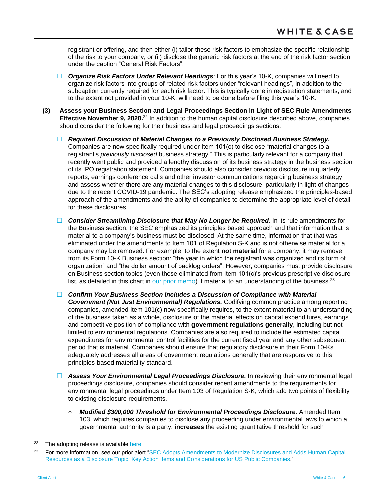registrant or offering, and then either (i) tailor these risk factors to emphasize the specific relationship of the risk to your company, or (ii) disclose the generic risk factors at the end of the risk factor section under the caption "General Risk Factors".

- *Organize Risk Factors Under Relevant Headings*: For this year's 10-K, companies will need to organize risk factors into groups of related risk factors under "relevant headings", in addition to the subcaption currently required for each risk factor. This is typically done in registration statements, and to the extent not provided in your 10-K, will need to be done before filing this year's 10-K.
- **(3) Assess your Business Section and Legal Proceedings Section in Light of SEC Rule Amendments Effective November 9, 2020.**<sup>22</sup> In addition to the human capital disclosure described above, companies should consider the following for their business and legal proceedings sections:
	- *Required Discussion of Material Changes to a Previously Disclosed Business Strategy***.** Companies are now specifically required under Item 101(c) to disclose "material changes to a registrant's *previously disclosed* business strategy." This is particularly relevant for a company that recently went public and provided a lengthy discussion of its business strategy in the business section of its IPO registration statement. Companies should also consider previous disclosure in quarterly reports, earnings conference calls and other investor communications regarding business strategy, and assess whether there are any material changes to this disclosure, particularly in light of changes due to the recent COVID-19 pandemic. The SEC's adopting release emphasized the principles-based approach of the amendments and the ability of companies to determine the appropriate level of detail for these disclosures.
	- *Consider Streamlining Disclosure that May No Longer be Required.* In its rule amendments for the Business section, the SEC emphasized its principles based approach and that information that is material to a company's business must be disclosed. At the same time, information that that was eliminated under the amendments to Item 101 of Regulation S-K and is not otherwise material for a company may be removed. For example, to the extent **not material** for a company, it may remove from its Form 10-K Business section: "the year in which the registrant was organized and its form of organization" and "the dollar amount of backlog orders". However, companies must provide disclosure on Business section topics (even those eliminated from Item 101(c)'s previous prescriptive disclosure list, as detailed in this chart in [our prior memo\)](https://www.whitecase.com/publications/alert/sec-adopts-amendments-modernize-disclosures-and-adds-human-capital-resources) if material to an understanding of the business.<sup>23</sup>
	- *Confirm Your Business Section Includes a Discussion of Compliance with Material Government (Not Just Environmental) Regulations.* Codifying common practice among reporting companies, amended Item 101(c) now specifically requires, to the extent material to an understanding of the business taken as a whole, disclosure of the material effects on capital expenditures, earnings and competitive position of compliance with **government regulations generally**, including but not limited to environmental regulations. Companies are also required to include the estimated capital expenditures for environmental control facilities for the current fiscal year and any other subsequent period that is material. Companies should ensure that regulatory disclosure in their Form 10-Ks adequately addresses all areas of government regulations generally that are responsive to this principles-based materiality standard.
	- *Assess Your Environmental Legal Proceedings Disclosure.* In reviewing their environmental legal proceedings disclosure, companies should consider recent amendments to the requirements for environmental legal proceedings under Item 103 of Regulation S-K, which add two points of flexibility to existing disclosure requirements.
		- o *Modified \$300,000 Threshold for Environmental Proceedings Disclosure.* Amended Item 103, which requires companies to disclose any proceeding under environmental laws to which a governmental authority is a party, **increases** the existing quantitative threshold for such

l  $22$  The adopting release is available [here.](https://www.sec.gov/rules/final/2020/33-10825.pdf)

<sup>23</sup> For more information, *see* our prior alert ["SEC Adopts Amendments to Modernize Disclosures and Adds Human Capital](https://www.whitecase.com/publications/alert/sec-adopts-amendments-modernize-disclosures-and-adds-human-capital-resources)  [Resources as a Disclosure Topic: Key Action Items and Considerations for US](https://www.whitecase.com/publications/alert/sec-adopts-amendments-modernize-disclosures-and-adds-human-capital-resources) Public Companies."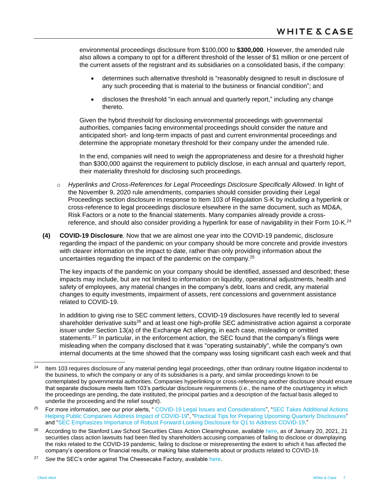environmental proceedings disclosure from \$100,000 to **\$300,000**. However, the amended rule also allows a company to opt for a different threshold of the lesser of \$1 million or one percent of the current assets of the registrant and its subsidiaries on a consolidated basis, if the company:

- determines such alternative threshold is "reasonably designed to result in disclosure of any such proceeding that is material to the business or financial condition"; and
- discloses the threshold "in each annual and quarterly report," including any change thereto.

Given the hybrid threshold for disclosing environmental proceedings with governmental authorities, companies facing environmental proceedings should consider the nature and anticipated short- and long-term impacts of past and current environmental proceedings and determine the appropriate monetary threshold for their company under the amended rule.

In the end, companies will need to weigh the appropriateness and desire for a threshold higher than \$300,000 against the requirement to publicly disclose, in each annual and quarterly report, their materiality threshold for disclosing such proceedings.

- o *Hyperlinks and Cross-References for Legal Proceedings Disclosure Specifically Allowed*. In light of the November 9, 2020 rule amendments, companies should consider providing their Legal Proceedings section disclosure in response to Item 103 of Regulation S-K by including a hyperlink or cross-reference to legal proceedings disclosure elsewhere in the same document, such as MD&A, Risk Factors or a note to the financial statements. Many companies already provide a crossreference, and should also consider providing a hyperlink for ease of navigability in their Form 10-K.<sup>24</sup>
- **(4) COVID-19 Disclosure**. Now that we are almost one year into the COVID-19 pandemic, disclosure regarding the impact of the pandemic on your company should be more concrete and provide investors with clearer information on the impact to date, rather than only providing information about the uncertainties regarding the impact of the pandemic on the company.<sup>25</sup>

The key impacts of the pandemic on your company should be identified, assessed and described; these impacts may include, but are not limited to information on liquidity, operational adjustments, health and safety of employees, any material changes in the company's debt, loans and credit, any material changes to equity investments, impairment of assets, rent concessions and government assistance related to COVID-19.

In addition to giving rise to SEC comment letters, COVID-19 disclosures have recently led to several shareholder derivative suits<sup>26</sup> and at least one high-profile SEC administrative action against a corporate issuer under Section 13(a) of the Exchange Act alleging, in each case, misleading or omitted statements.<sup>27</sup> In particular, in the enforcement action, the SEC found that the company's filings were misleading when the company disclosed that it was "operating sustainably", while the company's own internal documents at the time showed that the company was losing significant cash each week and that

<sup>27</sup> See the SEC's order against The Cheesecake Factory, available [here.](https://www.sec.gov/litigation/admin/2020/34-90565.pdf)

 $24$ <sup>24</sup> Item 103 requires disclosure of any material pending legal proceedings, other than ordinary routine litigation incidental to the business, to which the company or any of its subsidiaries is a party, and similar proceedings known to be contemplated by governmental authorities. Companies hyperlinking or cross-referencing another disclosure should ensure that separate disclosure meets Item 103's particular disclosure requirements (*i.e*., the name of the court/agency in which the proceedings are pending, the date instituted, the principal parties and a description of the factual basis alleged to underlie the proceeding and the relief sought).

<sup>25</sup> For more information, *see* our prior alerts, " [COVID-19 Legal Issues and Considerations"](https://www.whitecase.com/publications/alert/covid-19-legal-issues-and-considerations), ["SEC Takes Additional Actions](https://www.whitecase.com/publications/alert/sec-takes-additional-actions-helping-public-companies-address-impact-covid-19)  [Helping Public Companies Address Impact of COVID-19"](https://www.whitecase.com/publications/alert/sec-takes-additional-actions-helping-public-companies-address-impact-covid-19), ["Practical Tips for Preparing Upcoming Quarterly Disclosures"](https://www.whitecase.com/publications/alert/practical-tips-prepare-upcoming-quarterly-disclosures) and ["SEC Emphasizes Importance of Robust Forward-Looking Disclosure for Q1 to Address COVID-19."](https://www.whitecase.com/publications/alert/sec-emphasizes-importance-robust-forward-looking-disclosure-q1-address-covid-19)

<sup>&</sup>lt;sup>26</sup> According to the Stanford Law School Securities Class Action Clearinghouse, available [here,](http://securities.stanford.edu/current-topics.html) as of January 20, 2021, 21 securities class action lawsuits had been filed by shareholders accusing companies of failing to disclose or downplaying the risks related to the COVID-19 pandemic, failing to disclose or misrepresenting the extent to which it has affected the company's operations or financial results, or making false statements about or products related to COVID-19.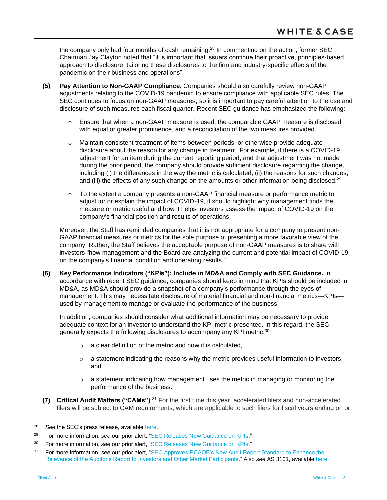the company only had four months of cash remaining.<sup>28</sup> In commenting on the action, former SEC Chairman Jay Clayton noted that "it is important that issuers continue their proactive, principles-based approach to disclosure, tailoring these disclosures to the firm and industry-specific effects of the pandemic on their business and operations".

- **(5) Pay Attention to Non-GAAP Compliance.** Companies should also carefully review non-GAAP adjustments relating to the COVID-19 pandemic to ensure compliance with applicable SEC rules. The SEC continues to focus on non-GAAP measures, so it is important to pay careful attention to the use and disclosure of such measures each fiscal quarter. Recent SEC guidance has emphasized the following:
	- $\circ$  Ensure that when a non-GAAP measure is used, the comparable GAAP measure is disclosed with equal or greater prominence, and a reconciliation of the two measures provided.
	- o Maintain consistent treatment of items between periods, or otherwise provide adequate disclosure about the reason for any change in treatment. For example, if there is a COVID-19 adjustment for an item during the current reporting period, and that adjustment was not made during the prior period, the company should provide sufficient disclosure regarding the change, including (i) the differences in the way the metric is calculated, (ii) the reasons for such changes, and (iii) the effects of any such change on the amounts or other information being disclosed.<sup>29</sup>
	- o To the extent a company presents a non-GAAP financial measure or performance metric to adjust for or explain the impact of COVID-19, it should highlight why management finds the measure or metric useful and how it helps investors assess the impact of COVID-19 on the company's financial position and results of operations.

Moreover, the Staff has reminded companies that it is not appropriate for a company to present non-GAAP financial measures or metrics for the sole purpose of presenting a more favorable view of the company. Rather, the Staff believes the acceptable purpose of non-GAAP measures is to share with investors "how management and the Board are analyzing the current and potential impact of COVID-19 on the company's financial condition and operating results."

**(6) Key Performance Indicators ("KPIs"): Include in MD&A and Comply with SEC Guidance.** In accordance with recent SEC guidance, companies should keep in mind that KPIs should be included in MD&A, as MD&A should provide a snapshot of a company's performance through the eyes of management. This may necessitate disclosure of material financial and non-financial metrics—KPIs used by management to manage or evaluate the performance of the business.

In addition, companies should consider what additional information may be necessary to provide adequate context for an investor to understand the KPI metric presented. In this regard, the SEC generally expects the following disclosures to accompany any KPI metric:<sup>30</sup>

- $\circ$  a clear definition of the metric and how it is calculated.
- $\circ$  a statement indicating the reasons why the metric provides useful information to investors, and
- $\circ$  a statement indicating how management uses the metric in managing or monitoring the performance of the business.
- **(7) Critical Audit Matters ("CAMs")**. <sup>31</sup> For the first time this year, accelerated filers and non-accelerated filers will be subject to CAM requirements, which are applicable to such filers for fiscal years ending on or

<sup>28</sup> *See* the SEC's press release, available [here.](https://www.sec.gov/news/press-release/2020-306)

<sup>29</sup> For more information, *see* our prior alert, ["SEC Releases New Guidance on KPIs.](https://www.whitecase.com/publications/alert/sec-releases-new-guidance-kpis)"

<sup>30</sup> For more information, *see* our prior alert, ["SEC Releases New Guidance on KPIs.](https://www.whitecase.com/publications/alert/sec-releases-new-guidance-kpis)"

<sup>31</sup> For more information, *see* our prior alert, ["SEC Approves PCAOB's New Audit Report Standard to Enhance the](https://www.whitecase.com/publications/alert/sec-approves-pcaobs-new-audit-report-standard-enhance-relevance-auditors-report?s=pcaob)  [Relevance of the Auditor's Report to Investors and Other Market Participants."](https://www.whitecase.com/publications/alert/sec-approves-pcaobs-new-audit-report-standard-enhance-relevance-auditors-report?s=pcaob) Also *see* AS 3101, available [here.](https://pcaobus.org/Standards/Auditing/Pages/AS3101.aspx)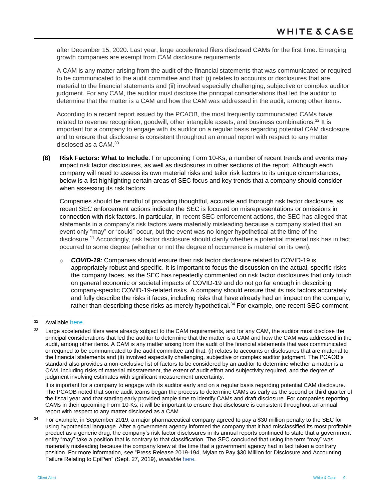after December 15, 2020. Last year, large accelerated filers disclosed CAMs for the first time. Emerging growth companies are exempt from CAM disclosure requirements.

A CAM is any matter arising from the audit of the financial statements that was communicated or required to be communicated to the audit committee and that: (i) relates to accounts or disclosures that are material to the financial statements and (ii) involved especially challenging, subjective or complex auditor judgment. For any CAM, the auditor must disclose the principal considerations that led the auditor to determine that the matter is a CAM and how the CAM was addressed in the audit, among other items.

According to a recent report issued by the PCAOB, the most frequently communicated CAMs have related to revenue recognition, goodwill, other intangible assets, and business combinations.<sup>32</sup> It is important for a company to engage with its auditor on a regular basis regarding potential CAM disclosure, and to ensure that disclosure is consistent throughout an annual report with respect to any matter disclosed as a CAM.<sup>33</sup>

**(8) Risk Factors: What to Include**: For upcoming Form 10-Ks, a number of recent trends and events may impact risk factor disclosures, as well as disclosures in other sections of the report. Although each company will need to assess its own material risks and tailor risk factors to its unique circumstances, below is a list highlighting certain areas of SEC focus and key trends that a company should consider when assessing its risk factors.

Companies should be mindful of providing thoughtful, accurate and thorough risk factor disclosure, as recent SEC enforcement actions indicate the SEC is focused on misrepresentations or omissions in connection with risk factors. In particular, in recent SEC enforcement actions, the SEC has alleged that statements in a company's risk factors were materially misleading because a company stated that an event only "may" or "could" occur, but the event was no longer hypothetical at the time of the disclosure.<sup>11</sup> Accordingly, risk factor disclosure should clarify whether a potential material risk has in fact occurred to some degree (whether or not the degree of occurrence is material on its own).

o *COVID-19:* Companies should ensure their risk factor disclosure related to COVID-19 is appropriately robust and specific. It is important to focus the discussion on the actual, specific risks the company faces, as the SEC has repeatedly commented on risk factor disclosures that only touch on general economic or societal impacts of COVID-19 and do not go far enough in describing company-specific COVID-19-related risks. A company should ensure that its risk factors accurately and fully describe the risks it faces, including risks that have already had an impact on the company, rather than describing these risks as merely hypothetical.<sup>34</sup> For example, one recent SEC comment

<sup>32</sup> Available [here.](https://pcaobus.org/EconomicAndRiskAnalysis/pir/Documents/ARM-Interim-Analysis-Report.pdf)

<sup>33</sup> Large accelerated filers were already subject to the CAM requirements, and for any CAM, the auditor must disclose the principal considerations that led the auditor to determine that the matter is a CAM and how the CAM was addressed in the audit, among other items. A CAM is any matter arising from the audit of the financial statements that was communicated or required to be communicated to the audit committee and that: (i) relates to accounts or disclosures that are material to the financial statements and (ii) involved especially challenging, subjective or complex auditor judgment. The PCAOB's standard also provides a non-exclusive list of factors to be considered by an auditor to determine whether a matter is a CAM, including risks of material misstatement, the extent of audit effort and subjectivity required, and the degree of judgment involving estimates with significant measurement uncertainty.

It is important for a company to engage with its auditor early and on a regular basis regarding potential CAM disclosure. The PCAOB noted that some audit teams began the process to determine CAMs as early as the second or third quarter of the fiscal year and that starting early provided ample time to identify CAMs and draft disclosure. For companies reporting CAMs in their upcoming Form 10-Ks, it will be important to ensure that disclosure is consistent throughout an annual report with respect to any matter disclosed as a CAM.

<sup>&</sup>lt;sup>34</sup> For example, in September 2019, a major pharmaceutical company agreed to pay a \$30 million penalty to the SEC for using hypothetical language. After a government agency informed the company that it had misclassified its most profitable product as a generic drug, the company's risk factor disclosures in its annual reports continued to state that a government entity "may" take a position that is contrary to that classification. The SEC concluded that using the term "may" was materially misleading because the company knew at the time that a government agency had in fact taken a contrary position. For more information, *see* "Press Release 2019-194, Mylan to Pay \$30 Million for Disclosure and Accounting Failure Relating to EpiPen" (Sept. 27, 2019), *available* here.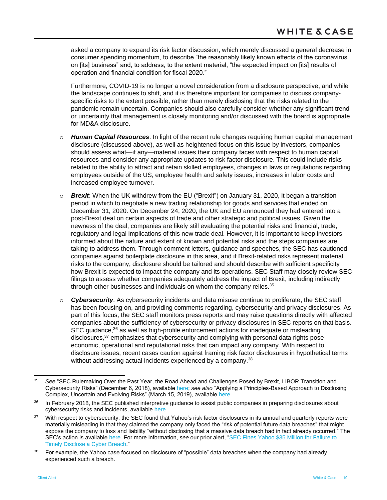asked a company to expand its risk factor discussion, which merely discussed a general decrease in consumer spending momentum, to describe "the reasonably likely known effects of the coronavirus on [its] business" and, to address, to the extent material, "the expected impact on [its] results of operation and financial condition for fiscal 2020."

Furthermore, COVID-19 is no longer a novel consideration from a disclosure perspective, and while the landscape continues to shift, and it is therefore important for companies to discuss companyspecific risks to the extent possible, rather than merely disclosing that the risks related to the pandemic remain uncertain. Companies should also carefully consider whether any significant trend or uncertainty that management is closely monitoring and/or discussed with the board is appropriate for MD&A disclosure.

- o *Human Capital Resources*: In light of the recent rule changes requiring human capital management disclosure (discussed above), as well as heightened focus on this issue by investors, companies should assess what—if any—material issues their company faces with respect to human capital resources and consider any appropriate updates to risk factor disclosure. This could include risks related to the ability to attract and retain skilled employees, changes in laws or regulations regarding employees outside of the US, employee health and safety issues, increases in labor costs and increased employee turnover.
- o *Brexit*: When the UK withdrew from the EU ("Brexit") on January 31, 2020, it began a transition period in which to negotiate a new trading relationship for goods and services that ended on December 31, 2020. On December 24, 2020, the UK and EU announced they had entered into a post-Brexit deal on certain aspects of trade and other strategic and political issues. Given the newness of the deal, companies are likely still evaluating the potential risks and financial, trade, regulatory and legal implications of this new trade deal. However, it is important to keep investors informed about the nature and extent of known and potential risks and the steps companies are taking to address them. Through comment letters, guidance and speeches, the SEC has cautioned companies against boilerplate disclosure in this area, and if Brexit-related risks represent material risks to the company, disclosure should be tailored and should describe with sufficient specificity how Brexit is expected to impact the company and its operations. SEC Staff may closely review SEC filings to assess whether companies adequately address the impact of Brexit, including indirectly through other businesses and individuals on whom the company relies.<sup>35</sup>
- o *Cybersecurity*: As cybersecurity incidents and data misuse continue to proliferate, the SEC staff has been focusing on, and providing comments regarding, cybersecurity and privacy disclosures. As part of this focus, the SEC staff monitors press reports and may raise questions directly with affected companies about the sufficiency of cybersecurity or privacy disclosures in SEC reports on that basis. SEC guidance,<sup>36</sup> as well as high-profile enforcement actions for inadequate or misleading disclosures,<sup>37</sup> emphasizes that cybersecurity and complying with personal data rights pose economic, operational and reputational risks that can impact any company. With respect to disclosure issues, recent cases caution against framing risk factor disclosures in hypothetical terms without addressing actual incidents experienced by a company.<sup>38</sup>

<sup>35</sup> See "SEC Rulemaking Over the Past Year, the Road Ahead and Challenges Posed by Brexit, LIBOR Transition and Cybersecurity Risks" (December 6, 2018), available [here;](https://www.sec.gov/news/speech/speech-clayton-120618) *see also* "Applying a Principles-Based Approach to Disclosing Complex, Uncertain and Evolving Risks" (March 15, 2019), available [here.](https://www.sec.gov/news/speech/hinman-applying-principles-based-approach-disclosure-031519)

<sup>&</sup>lt;sup>36</sup> In February 2018, the SEC published interpretive guidance to assist public companies in preparing disclosures about cybersecurity risks and incidents, available [here.](https://www.sec.gov/rules/interp/2018/33-10459.pdf)

<sup>&</sup>lt;sup>37</sup> With respect to cybersecurity, the SEC found that Yahoo's risk factor disclosures in its annual and quarterly reports were materially misleading in that they claimed the company only faced the "risk of potential future data breaches" that might expose the company to loss and liability "without disclosing that a massive data breach had in fact already occurred." The SEC's action is availabl[e here.](https://www.sec.gov/litigation/admin/2018/33-10485.pdf) For more information, *see* our prior alert, ["SEC Fines Yahoo \\$35 Million for Failure to](https://www.whitecase.com/publications/alert/sec-fines-yahoo-35-million-failure-timely-disclose-cyber-breach)  [Timely Disclose a Cyber Breach."](https://www.whitecase.com/publications/alert/sec-fines-yahoo-35-million-failure-timely-disclose-cyber-breach)

<sup>&</sup>lt;sup>38</sup> For example, the Yahoo case focused on disclosure of "possible" data breaches when the company had already experienced such a breach.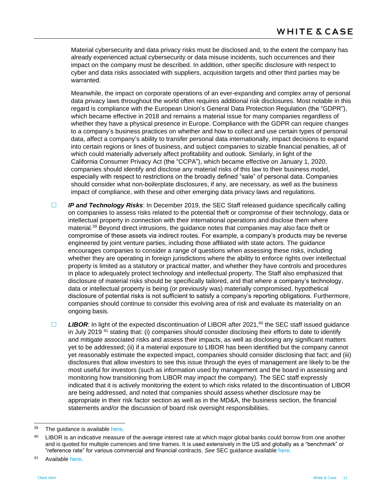Material cybersecurity and data privacy risks must be disclosed and, to the extent the company has already experienced actual cybersecurity or data misuse incidents, such occurrences and their impact on the company must be described. In addition, other specific disclosure with respect to cyber and data risks associated with suppliers, acquisition targets and other third parties may be warranted.

Meanwhile, the impact on corporate operations of an ever-expanding and complex array of personal data privacy laws throughout the world often requires additional risk disclosures. Most notable in this regard is compliance with the European Union's General Data Protection Regulation (the "GDPR"), which became effective in 2018 and remains a material issue for many companies regardless of whether they have a physical presence in Europe. Compliance with the GDPR can require changes to a company's business practices on whether and how to collect and use certain types of personal data, affect a company's ability to transfer personal data internationally, impact decisions to expand into certain regions or lines of business, and subject companies to sizable financial penalties, all of which could materially adversely affect profitability and outlook. Similarly, in light of the California Consumer Privacy Act (the "CCPA"), which became effective on January 1, 2020, companies should identify and disclose any material risks of this law to their business model, especially with respect to restrictions on the broadly defined "sale" of personal data. Companies should consider what non-boilerplate disclosures, if any, are necessary, as well as the business impact of compliance, with these and other emerging data privacy laws and regulations.

**IP and Technology Risks:** In December 2019, the SEC Staff released guidance specifically calling on companies to assess risks related to the potential theft or compromise of their technology, data or intellectual property in connection with their international operations and disclose them where material.<sup>39</sup> Beyond direct intrusions, the guidance notes that companies may also face theft or compromise of these assets via indirect routes. For example, a company's products may be reverse engineered by joint venture parties, including those affiliated with state actors. The guidance encourages companies to consider a range of questions when assessing these risks, including whether they are operating in foreign jurisdictions where the ability to enforce rights over intellectual property is limited as a statutory or practical matter, and whether they have controls and procedures in place to adequately protect technology and intellectual property. The Staff also emphasized that disclosure of material risks should be specifically tailored, and that where a company's technology, data or intellectual property is being (or previously was) materially compromised, hypothetical disclosure of potential risks is not sufficient to satisfy a company's reporting obligations. Furthermore, companies should continue to consider this evolving area of risk and evaluate its materiality on an ongoing basis.

□ LIBOR: In light of the expected discontinuation of LIBOR after 2021,<sup>40</sup> the SEC staff issued guidance in July 2019 <sup>41</sup> stating that: (i) companies should consider disclosing their efforts to date to identify and mitigate associated risks and assess their impacts, as well as disclosing any significant matters yet to be addressed; (ii) if a material exposure to LIBOR has been identified but the company cannot yet reasonably estimate the expected impact, companies should consider disclosing that fact; and (iii) disclosures that allow investors to see this issue through the eyes of management are likely to be the most useful for investors (such as information used by management and the board in assessing and monitoring how transitioning from LIBOR may impact the company). The SEC staff expressly indicated that it is actively monitoring the extent to which risks related to the discontinuation of LIBOR are being addressed, and noted that companies should assess whether disclosure may be appropriate in their risk factor section as well as in the MD&A, the business section, the financial statements and/or the discussion of board risk oversight responsibilities.

<sup>&</sup>lt;sup>39</sup> The guidance is available [here.](https://www.sec.gov/corpfin/risks-technology-intellectual-property-international-business-operations)

<sup>&</sup>lt;sup>40</sup> LIBOR is an indicative measure of the average interest rate at which major global banks could borrow from one another and is quoted for multiple currencies and time frames. It is used extensively in the US and globally as a "benchmark" or "reference rate" for various commercial and financial contracts. *See* SEC guidance available [here.](https://www.sec.gov/news/public-statement/libor-transition)

<sup>41</sup> Availabl[e here.](https://www.sec.gov/news/public-statement/libor-transition)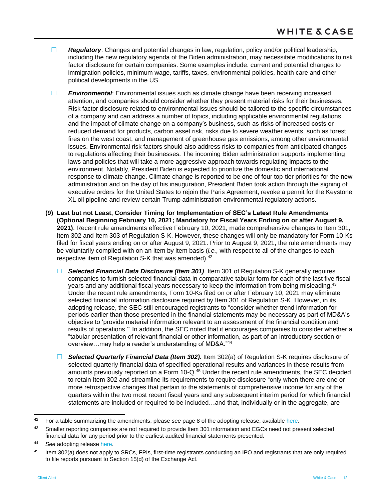- **Requilatory:** Changes and potential changes in law, regulation, policy and/or political leadership, including the new regulatory agenda of the Biden administration, may necessitate modifications to risk factor disclosure for certain companies. Some examples include: current and potential changes to immigration policies, minimum wage, tariffs, taxes, environmental policies, health care and other political developments in the US.
- **Environmental:** Environmental issues such as climate change have been receiving increased attention, and companies should consider whether they present material risks for their businesses. Risk factor disclosure related to environmental issues should be tailored to the specific circumstances of a company and can address a number of topics, including applicable environmental regulations and the impact of climate change on a company's business, such as risks of increased costs or reduced demand for products, carbon asset risk, risks due to severe weather events, such as forest fires on the west coast, and management of greenhouse gas emissions, among other environmental issues. Environmental risk factors should also address risks to companies from anticipated changes to regulations affecting their businesses. The incoming Biden administration supports implementing laws and policies that will take a more aggressive approach towards regulating impacts to the environment. Notably, President Biden is expected to prioritize the domestic and international response to climate change. Climate change is reported to be one of four top-tier priorities for the new administration and on the day of his inauguration, President Biden took action through the signing of executive orders for the United States to rejoin the Paris Agreement, revoke a permit for the Keystone XL oil pipeline and review certain Trump administration environmental regulatory actions.
- **(9) Last but not Least, Consider Timing for Implementation of SEC's Latest Rule Amendments (Optional Beginning February 10, 2021; Mandatory for Fiscal Years Ending on or after August 9, 2021)**: Recent rule amendments effective February 10, 2021, made comprehensive changes to Item 301, Item 302 and Item 303 of Regulation S-K. However, these changes will only be mandatory for Form 10-Ks filed for fiscal years ending on or after August 9, 2021. Prior to August 9, 2021, the rule amendments may be voluntarily complied with on an item by item basis (*i.e.,* with respect to all of the changes to each respective item of Regulation S-K that was amended).<sup>42</sup>
	- *Selected Financial Data Disclosure (Item 301).* Item 301 of Regulation S-K generally requires companies to furnish selected financial data in comparative tabular form for each of the last five fiscal years and any additional fiscal years necessary to keep the information from being misleading.<sup>43</sup> Under the recent rule amendments, Form 10-Ks filed on or after February 10, 2021 may eliminate selected financial information disclosure required by Item 301 of Regulation S-K. However, in its adopting release, the SEC still encouraged registrants to "consider whether trend information for periods earlier than those presented in the financial statements may be necessary as part of MD&A's objective to 'provide material information relevant to an assessment of the financial condition and results of operations.'" In addition, the SEC noted that it encourages companies to consider whether a "tabular presentation of relevant financial or other information, as part of an introductory section or overview…may help a reader's understanding of MD&A."<sup>44</sup>
	- *Selected Quarterly Financial Data (Item 302).* Item 302(a) of Regulation S-K requires disclosure of selected quarterly financial data of specified operational results and variances in these results from amounts previously reported on a Form 10-Q.<sup>45</sup> Under the recent rule amendments, the SEC decided to retain Item 302 and streamline its requirements to require disclosure "only when there are one or more retrospective changes that pertain to the statements of comprehensive income for any of the quarters within the two most recent fiscal years and any subsequent interim period for which financial statements are included or required to be included…and that, individually or in the aggregate, are

<sup>42</sup> For a table summarizing the amendments, please *see* page 8 of the adopting release, available [here.](https://www.sec.gov/rules/final/2020/33-10890.pdf)

<sup>43</sup> Smaller reporting companies are not required to provide Item 301 information and EGCs need not present selected financial data for any period prior to the earliest audited financial statements presented.

<sup>44</sup> *See* adopting release [here.](https://www.sec.gov/rules/final/2020/33-10890.pdf)

<sup>45</sup> Item 302(a) does not apply to SRCs, FPIs, first-time registrants conducting an IPO and registrants that are only required to file reports pursuant to Section 15(d) of the Exchange Act.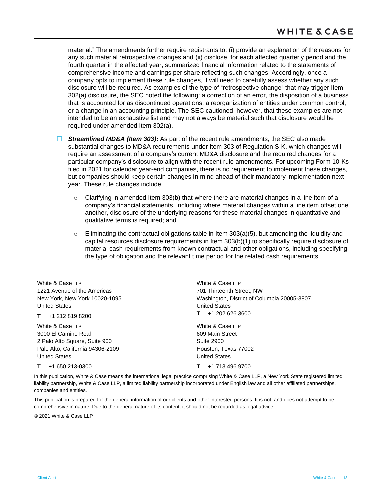material." The amendments further require registrants to: (i) provide an explanation of the reasons for any such material retrospective changes and (ii) disclose, for each affected quarterly period and the fourth quarter in the affected year, summarized financial information related to the statements of comprehensive income and earnings per share reflecting such changes. Accordingly, once a company opts to implement these rule changes, it will need to carefully assess whether any such disclosure will be required. As examples of the type of "retrospective change" that may trigger Item 302(a) disclosure, the SEC noted the following: a correction of an error, the disposition of a business that is accounted for as discontinued operations, a reorganization of entities under common control, or a change in an accounting principle. The SEC cautioned, however, that these examples are not intended to be an exhaustive list and may not always be material such that disclosure would be required under amended Item 302(a).

 *Streamlined MD&A (Item 303)***:** As part of the recent rule amendments, the SEC also made substantial changes to MD&A requirements under Item 303 of Regulation S-K, which changes will require an assessment of a company's current MD&A disclosure and the required changes for a particular company's disclosure to align with the recent rule amendments. For upcoming Form 10-Ks filed in 2021 for calendar year-end companies, there is no requirement to implement these changes, but companies should keep certain changes in mind ahead of their mandatory implementation next year. These rule changes include:

- Clarifying in amended Item 303(b) that where there are material changes in a line item of a company's financial statements, including where material changes within a line item offset one another, disclosure of the underlying reasons for these material changes in quantitative and qualitative terms is required; and
- $\circ$  Eliminating the contractual obligations table in Item 303(a)(5), but amending the liquidity and capital resources disclosure requirements in Item 303(b)(1) to specifically require disclosure of material cash requirements from known contractual and other obligations, including specifying the type of obligation and the relevant time period for the related cash requirements.

| White & Case LLP                 | White & Case LLP                            |
|----------------------------------|---------------------------------------------|
| 1221 Avenue of the Americas      | 701 Thirteenth Street, NW                   |
| New York, New York 10020-1095    | Washington, District of Columbia 20005-3807 |
| <b>United States</b>             | <b>United States</b>                        |
| $T + 12128198200$                | +1 202 626 3600<br>т.                       |
| White & Case LLP                 | White & Case LLP                            |
| 3000 El Camino Real              | 609 Main Street                             |
| 2 Palo Alto Square, Suite 900    | Suite 2900                                  |
| Palo Alto, California 94306-2109 | Houston, Texas 77002                        |
| <b>United States</b>             | <b>United States</b>                        |
| +1 650 213-0300<br>T.            | +1 713 496 9700                             |

In this publication, White & Case means the international legal practice comprising White & Case LLP, a New York State registered limited liability partnership, White & Case LLP, a limited liability partnership incorporated under English law and all other affiliated partnerships, companies and entities.

This publication is prepared for the general information of our clients and other interested persons. It is not, and does not attempt to be, comprehensive in nature. Due to the general nature of its content, it should not be regarded as legal advice.

© 2021 White & Case LLP